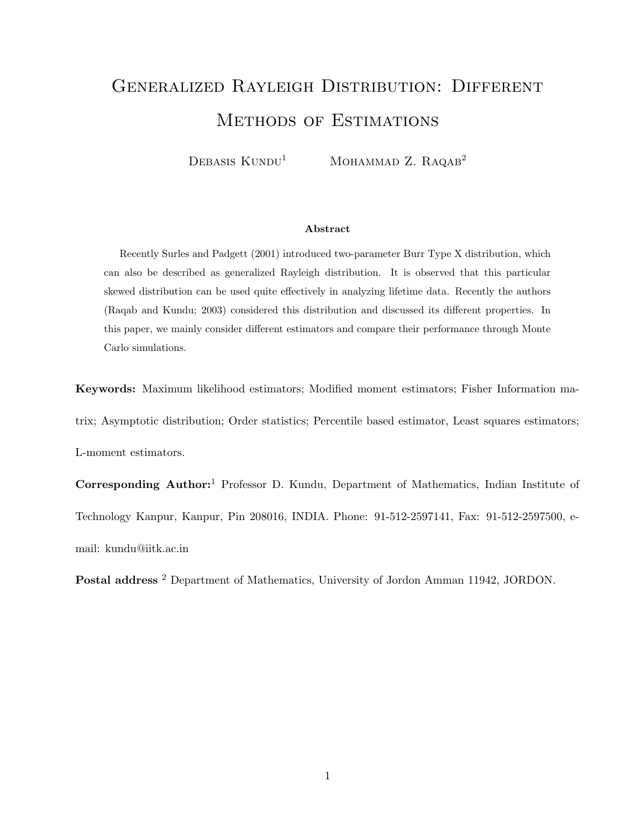# Generalized Rayleigh Distribution: Different Methods of Estimations

DEBASIS  $KUNDU<sup>1</sup>$  MOHAMMAD Z. RAQAB<sup>2</sup>

#### Abstract

Recently Surles and Padgett (2001) introduced two-parameter Burr Type X distribution, which can also be described as generalized Rayleigh distribution. It is observed that this particular skewed distribution can be used quite effectively in analyzing lifetime data. Recently the authors (Raqab and Kundu; 2003) considered this distribution and discussed its different properties. In this paper, we mainly consider different estimators and compare their performance through Monte Carlo simulations.

Keywords: Maximum likelihood estimators; Modified moment estimators; Fisher Information matrix; Asymptotic distribution; Order statistics; Percentile based estimator, Least squares estimators; L-moment estimators.

Corresponding Author:<sup>1</sup> Professor D. Kundu, Department of Mathematics, Indian Institute of Technology Kanpur, Kanpur, Pin 208016, INDIA. Phone: 91-512-2597141, Fax: 91-512-2597500, email: kundu@iitk.ac.in

Postal address<sup>2</sup> Department of Mathematics, University of Jordon Amman 11942, JORDON.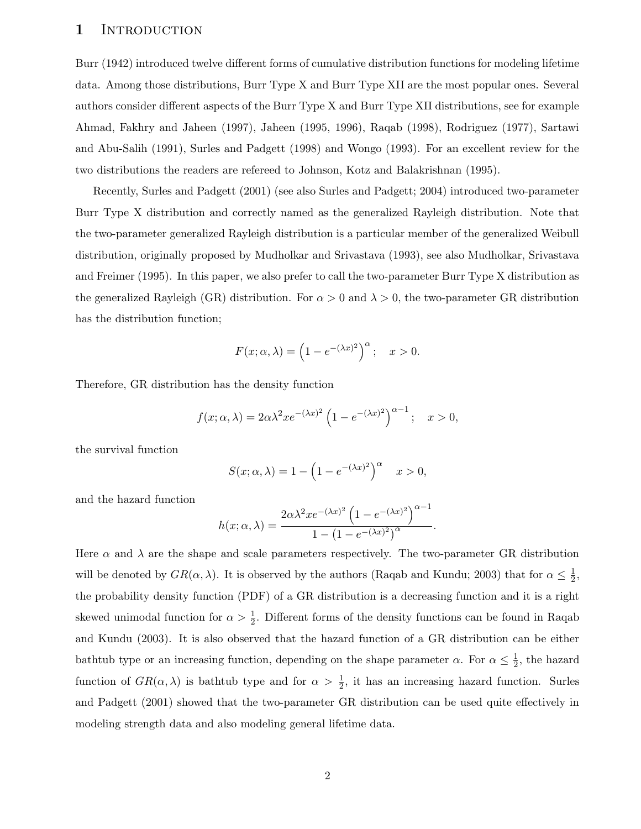#### 1 INTRODUCTION

Burr (1942) introduced twelve different forms of cumulative distribution functions for modeling lifetime data. Among those distributions, Burr Type X and Burr Type XII are the most popular ones. Several authors consider different aspects of the Burr Type X and Burr Type XII distributions, see for example Ahmad, Fakhry and Jaheen (1997), Jaheen (1995, 1996), Raqab (1998), Rodriguez (1977), Sartawi and Abu-Salih (1991), Surles and Padgett (1998) and Wongo (1993). For an excellent review for the two distributions the readers are refereed to Johnson, Kotz and Balakrishnan (1995).

Recently, Surles and Padgett (2001) (see also Surles and Padgett; 2004) introduced two-parameter Burr Type X distribution and correctly named as the generalized Rayleigh distribution. Note that the two-parameter generalized Rayleigh distribution is a particular member of the generalized Weibull distribution, originally proposed by Mudholkar and Srivastava (1993), see also Mudholkar, Srivastava and Freimer (1995). In this paper, we also prefer to call the two-parameter Burr Type X distribution as the generalized Rayleigh (GR) distribution. For  $\alpha > 0$  and  $\lambda > 0$ , the two-parameter GR distribution has the distribution function;

$$
F(x; \alpha, \lambda) = \left(1 - e^{-(\lambda x)^2}\right)^{\alpha}; \quad x > 0.
$$

Therefore, GR distribution has the density function

$$
f(x; \alpha, \lambda) = 2\alpha\lambda^2 x e^{-(\lambda x)^2} \left(1 - e^{-(\lambda x)^2}\right)^{\alpha - 1}; \quad x > 0,
$$

the survival function

$$
S(x; \alpha, \lambda) = 1 - \left(1 - e^{-(\lambda x)^2}\right)^{\alpha} \quad x > 0,
$$

and the hazard function

$$
h(x; \alpha, \lambda) = \frac{2\alpha\lambda^2 x e^{-(\lambda x)^2} \left(1 - e^{-(\lambda x)^2}\right)^{\alpha - 1}}{1 - \left(1 - e^{-(\lambda x)^2}\right)^{\alpha}}.
$$

Here  $\alpha$  and  $\lambda$  are the shape and scale parameters respectively. The two-parameter GR distribution will be denoted by  $GR(\alpha, \lambda)$ . It is observed by the authors (Raqab and Kundu; 2003) that for  $\alpha \leq \frac{1}{2}$  $\frac{1}{2}$ , the probability density function (PDF) of a GR distribution is a decreasing function and it is a right skewed unimodal function for  $\alpha > \frac{1}{2}$  $\frac{1}{2}$ . Different forms of the density functions can be found in Raqab and Kundu (2003). It is also observed that the hazard function of a GR distribution can be either bathtub type or an increasing function, depending on the shape parameter  $\alpha$ . For  $\alpha \leq \frac{1}{2}$  $\frac{1}{2}$ , the hazard function of  $GR(\alpha, \lambda)$  is bathtub type and for  $\alpha > \frac{1}{2}$  $\frac{1}{2}$ , it has an increasing hazard function. Surles and Padgett (2001) showed that the two-parameter GR distribution can be used quite effectively in modeling strength data and also modeling general lifetime data.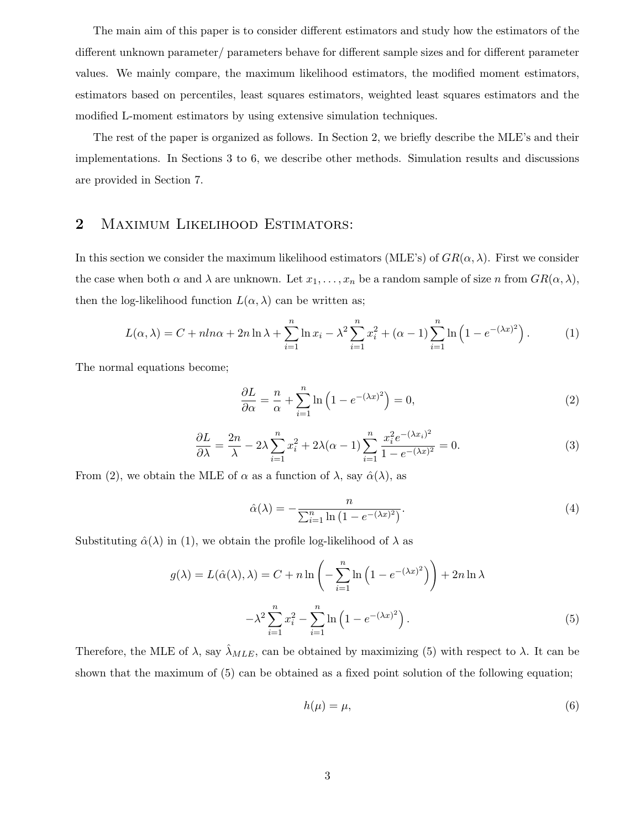The main aim of this paper is to consider different estimators and study how the estimators of the different unknown parameter/ parameters behave for different sample sizes and for different parameter values. We mainly compare, the maximum likelihood estimators, the modified moment estimators, estimators based on percentiles, least squares estimators, weighted least squares estimators and the modified L-moment estimators by using extensive simulation techniques.

The rest of the paper is organized as follows. In Section 2, we briefly describe the MLE's and their implementations. In Sections 3 to 6, we describe other methods. Simulation results and discussions are provided in Section 7.

# 2 MAXIMUM LIKELIHOOD ESTIMATORS:

In this section we consider the maximum likelihood estimators (MLE's) of  $GR(\alpha, \lambda)$ . First we consider the case when both  $\alpha$  and  $\lambda$  are unknown. Let  $x_1, \ldots, x_n$  be a random sample of size n from  $GR(\alpha, \lambda)$ , then the log-likelihood function  $L(\alpha, \lambda)$  can be written as;

$$
L(\alpha, \lambda) = C + n \ln \alpha + 2n \ln \lambda + \sum_{i=1}^{n} \ln x_i - \lambda^2 \sum_{i=1}^{n} x_i^2 + (\alpha - 1) \sum_{i=1}^{n} \ln \left( 1 - e^{-(\lambda x)^2} \right).
$$
 (1)

The normal equations become;

$$
\frac{\partial L}{\partial \alpha} = \frac{n}{\alpha} + \sum_{i=1}^{n} \ln \left( 1 - e^{-(\lambda x)^2} \right) = 0,\tag{2}
$$

$$
\frac{\partial L}{\partial \lambda} = \frac{2n}{\lambda} - 2\lambda \sum_{i=1}^{n} x_i^2 + 2\lambda(\alpha - 1) \sum_{i=1}^{n} \frac{x_i^2 e^{-(\lambda x_i)^2}}{1 - e^{-(\lambda x)^2}} = 0.
$$
 (3)

From (2), we obtain the MLE of  $\alpha$  as a function of  $\lambda$ , say  $\hat{\alpha}(\lambda)$ , as

$$
\hat{\alpha}(\lambda) = -\frac{n}{\sum_{i=1}^{n} \ln\left(1 - e^{-(\lambda x)^2}\right)}.\tag{4}
$$

Substituting  $\hat{\alpha}(\lambda)$  in (1), we obtain the profile log-likelihood of  $\lambda$  as

$$
g(\lambda) = L(\hat{\alpha}(\lambda), \lambda) = C + n \ln \left( -\sum_{i=1}^{n} \ln \left( 1 - e^{-(\lambda x)^2} \right) \right) + 2n \ln \lambda
$$

$$
-\lambda^2 \sum_{i=1}^{n} x_i^2 - \sum_{i=1}^{n} \ln \left( 1 - e^{-(\lambda x)^2} \right). \tag{5}
$$

Therefore, the MLE of  $\lambda$ , say  $\hat{\lambda}_{MLE}$ , can be obtained by maximizing (5) with respect to  $\lambda$ . It can be shown that the maximum of (5) can be obtained as a fixed point solution of the following equation;

$$
h(\mu) = \mu,\tag{6}
$$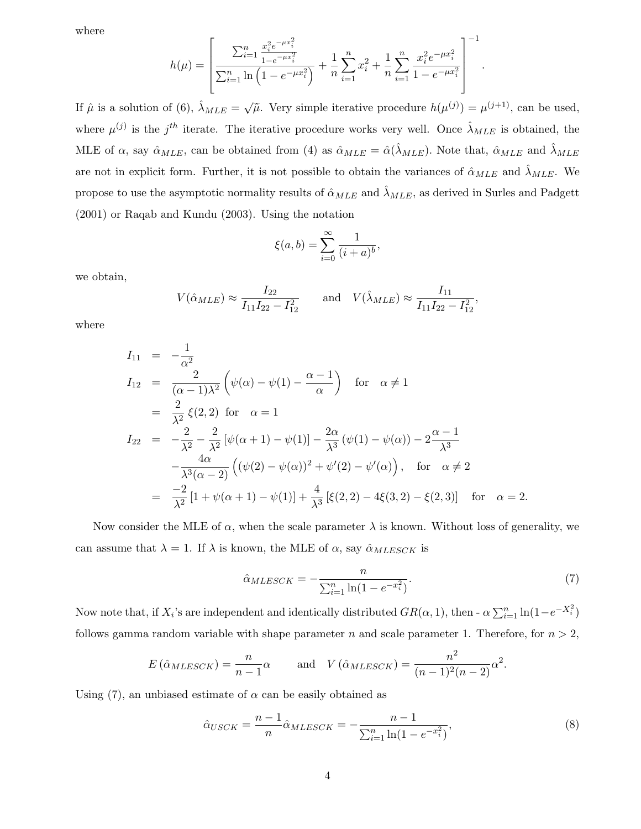where

$$
h(\mu) = \left[ \frac{\sum_{i=1}^{n} \frac{x_i^2 e^{-\mu x_i^2}}{1 - e^{-\mu x_i^2}}}{\sum_{i=1}^{n} \ln \left(1 - e^{-\mu x_i^2}\right)} + \frac{1}{n} \sum_{i=1}^{n} x_i^2 + \frac{1}{n} \sum_{i=1}^{n} \frac{x_i^2 e^{-\mu x_i^2}}{1 - e^{-\mu x_i^2}} \right]^{-1}
$$

.

If  $\hat{\mu}$  is a solution of (6),  $\hat{\lambda}_{MLE} = \sqrt{\hat{\mu}}$ . Very simple iterative procedure  $h(\mu^{(j)}) = \mu^{(j+1)}$ , can be used, where  $\mu^{(j)}$  is the j<sup>th</sup> iterate. The iterative procedure works very well. Once  $\hat{\lambda}_{MLE}$  is obtained, the MLE of  $\alpha$ , say  $\hat{\alpha}_{MLE}$ , can be obtained from (4) as  $\hat{\alpha}_{MLE} = \hat{\alpha}(\hat{\lambda}_{MLE})$ . Note that,  $\hat{\alpha}_{MLE}$  and  $\hat{\lambda}_{MLE}$ are not in explicit form. Further, it is not possible to obtain the variances of  $\hat{\alpha}_{MLE}$  and  $\hat{\lambda}_{MLE}$ . We propose to use the asymptotic normality results of  $\hat{\alpha}_{MLE}$  and  $\hat{\lambda}_{MLE}$ , as derived in Surles and Padgett (2001) or Raqab and Kundu (2003). Using the notation

$$
\xi(a, b) = \sum_{i=0}^{\infty} \frac{1}{(i+a)^b},
$$

we obtain,

$$
V(\hat{\alpha}_{MLE}) \approx \frac{I_{22}}{I_{11}I_{22} - I_{12}^2}
$$
 and 
$$
V(\hat{\lambda}_{MLE}) \approx \frac{I_{11}}{I_{11}I_{22} - I_{12}^2},
$$

where

$$
I_{11} = -\frac{1}{\alpha^2}
$$
  
\n
$$
I_{12} = \frac{2}{(\alpha - 1)\lambda^2} \left( \psi(\alpha) - \psi(1) - \frac{\alpha - 1}{\alpha} \right) \text{ for } \alpha \neq 1
$$
  
\n
$$
= \frac{2}{\lambda^2} \xi(2, 2) \text{ for } \alpha = 1
$$
  
\n
$$
I_{22} = -\frac{2}{\lambda^2} - \frac{2}{\lambda^2} [\psi(\alpha + 1) - \psi(1)] - \frac{2\alpha}{\lambda^3} (\psi(1) - \psi(\alpha)) - 2\frac{\alpha - 1}{\lambda^3}
$$
  
\n
$$
- \frac{4\alpha}{\lambda^3 (\alpha - 2)} \left( (\psi(2) - \psi(\alpha))^2 + \psi'(2) - \psi'(\alpha) \right), \text{ for } \alpha \neq 2
$$
  
\n
$$
= \frac{-2}{\lambda^2} [1 + \psi(\alpha + 1) - \psi(1)] + \frac{4}{\lambda^3} [\xi(2, 2) - 4\xi(3, 2) - \xi(2, 3)] \text{ for } \alpha = 2.
$$

Now consider the MLE of  $\alpha$ , when the scale parameter  $\lambda$  is known. Without loss of generality, we can assume that  $\lambda = 1$ . If  $\lambda$  is known, the MLE of  $\alpha$ , say  $\hat{\alpha}_{MLESCK}$  is

$$
\hat{\alpha}_{MLESCK} = -\frac{n}{\sum_{i=1}^{n} \ln(1 - e^{-x_i^2})}.
$$
\n(7)

Now note that, if  $X_i$ 's are independent and identically distributed  $GR(\alpha, 1)$ , then -  $\alpha \sum_{i=1}^n \ln(1 - e^{-X_i^2})$ follows gamma random variable with shape parameter n and scale parameter 1. Therefore, for  $n > 2$ ,

$$
E(\hat{\alpha}_{MLESCK}) = \frac{n}{n-1}\alpha
$$
 and  $V(\hat{\alpha}_{MLESCK}) = \frac{n^2}{(n-1)^2(n-2)}\alpha^2$ .

Using (7), an unbiased estimate of  $\alpha$  can be easily obtained as

$$
\hat{\alpha}_{USCK} = \frac{n-1}{n} \hat{\alpha}_{MLESCK} = -\frac{n-1}{\sum_{i=1}^{n} \ln(1 - e^{-x_i^2})},\tag{8}
$$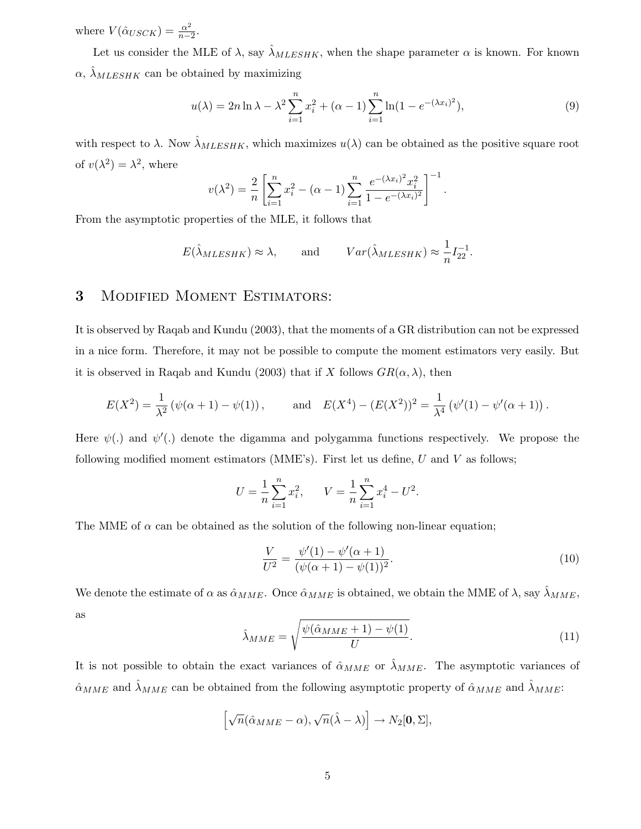where  $V(\hat{\alpha}_{USCK}) = \frac{\alpha^2}{n}$  $\frac{\alpha^2}{n-2}$ .

Let us consider the MLE of  $\lambda$ , say  $\hat{\lambda}_{MLESHK}$ , when the shape parameter  $\alpha$  is known. For known  $\alpha$ ,  $\hat{\lambda}_{MLESHK}$  can be obtained by maximizing

$$
u(\lambda) = 2n \ln \lambda - \lambda^2 \sum_{i=1}^n x_i^2 + (\alpha - 1) \sum_{i=1}^n \ln(1 - e^{-(\lambda x_i)^2}),
$$
\n(9)

with respect to  $\lambda$ . Now  $\hat{\lambda}_{MLESHK}$ , which maximizes  $u(\lambda)$  can be obtained as the positive square root of  $v(\lambda^2) = \lambda^2$ , where

$$
v(\lambda^2) = \frac{2}{n} \left[ \sum_{i=1}^n x_i^2 - (\alpha - 1) \sum_{i=1}^n \frac{e^{-(\lambda x_i)^2} x_i^2}{1 - e^{-(\lambda x_i)^2}} \right]^{-1}.
$$

From the asymptotic properties of the MLE, it follows that

$$
E(\hat{\lambda}_{MLESHK}) \approx \lambda
$$
, and  $Var(\hat{\lambda}_{MLESHK}) \approx \frac{1}{n}I_{22}^{-1}$ .

# 3 Modified Moment Estimators:

It is observed by Raqab and Kundu (2003), that the moments of a GR distribution can not be expressed in a nice form. Therefore, it may not be possible to compute the moment estimators very easily. But it is observed in Raqab and Kundu (2003) that if X follows  $GR(\alpha, \lambda)$ , then

$$
E(X^2) = \frac{1}{\lambda^2} (\psi(\alpha + 1) - \psi(1)),
$$
 and  $E(X^4) - (E(X^2))^2 = \frac{1}{\lambda^4} (\psi'(1) - \psi'(\alpha + 1)).$ 

Here  $\psi(.)$  and  $\psi'(.)$  denote the digamma and polygamma functions respectively. We propose the following modified moment estimators (MME's). First let us define,  $U$  and  $V$  as follows;

$$
U = \frac{1}{n} \sum_{i=1}^{n} x_i^2, \qquad V = \frac{1}{n} \sum_{i=1}^{n} x_i^4 - U^2.
$$

The MME of  $\alpha$  can be obtained as the solution of the following non-linear equation;

$$
\frac{V}{U^2} = \frac{\psi'(1) - \psi'(\alpha + 1)}{(\psi(\alpha + 1) - \psi(1))^2}.
$$
\n(10)

We denote the estimate of  $\alpha$  as  $\hat{\alpha}_{MME}$ . Once  $\hat{\alpha}_{MME}$  is obtained, we obtain the MME of  $\lambda$ , say  $\hat{\lambda}_{MME}$ , as

$$
\hat{\lambda}_{MME} = \sqrt{\frac{\psi(\hat{\alpha}_{MME} + 1) - \psi(1)}{U}}.
$$
\n(11)

It is not possible to obtain the exact variances of  $\hat{\alpha}_{MME}$  or  $\hat{\lambda}_{MME}$ . The asymptotic variances of  $\hat{\alpha}_{MME}$  and  $\hat{\lambda}_{MME}$  can be obtained from the following asymptotic property of  $\hat{\alpha}_{MME}$  and  $\hat{\lambda}_{MME}$ :

$$
\left[\sqrt{n}(\hat{\alpha}_{MME}-\alpha), \sqrt{n}(\hat{\lambda}-\lambda)\right] \to N_2[\mathbf{0},\Sigma],
$$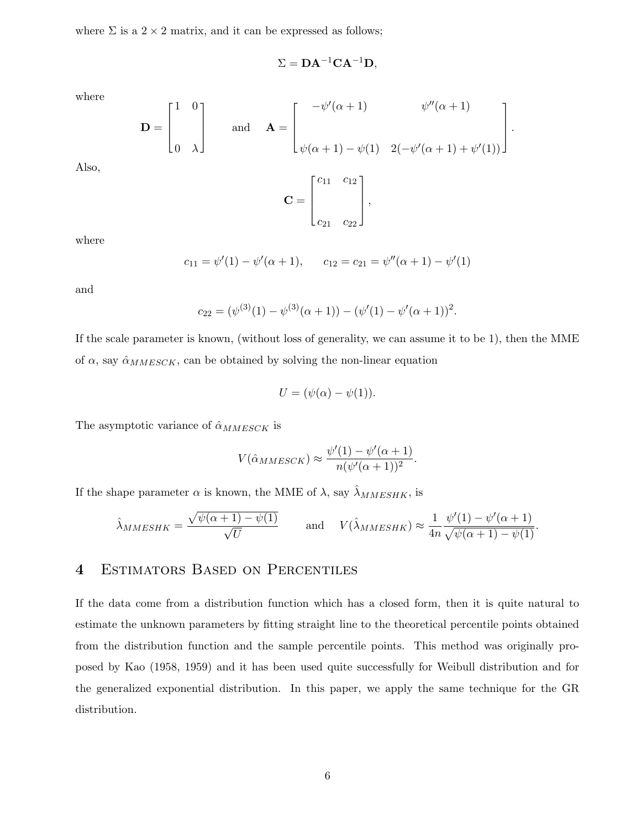where  $\Sigma$  is a 2 × 2 matrix, and it can be expressed as follows;

$$
\Sigma = \mathbf{DA}^{-1}\mathbf{CA}^{-1}\mathbf{D},
$$

where

Also,

$$
\mathbf{D} = \begin{bmatrix} 1 & 0 \\ & \\ 0 & \lambda \end{bmatrix} \quad \text{and} \quad \mathbf{A} = \begin{bmatrix} -\psi'(\alpha+1) & \psi''(\alpha+1) \\ & \\ \psi(\alpha+1) - \psi(1) & 2(-\psi'(\alpha+1) + \psi'(1)) \end{bmatrix}.
$$

$$
\mathbf{C} = \begin{bmatrix} c_{11} & c_{12} \\ & \\ c_{21} & c_{22} \end{bmatrix},
$$

where

$$
c_{11} = \psi'(1) - \psi'(\alpha + 1),
$$
  $c_{12} = c_{21} = \psi''(\alpha + 1) - \psi'(1)$ 

and

$$
c_{22} = (\psi^{(3)}(1) - \psi^{(3)}(\alpha + 1)) - (\psi'(1) - \psi'(\alpha + 1))^{2}.
$$

If the scale parameter is known, (without loss of generality, we can assume it to be 1), then the MME of  $\alpha$ , say  $\hat{\alpha}_{MMESCK}$ , can be obtained by solving the non-linear equation

$$
U = (\psi(\alpha) - \psi(1)).
$$

The asymptotic variance of  $\hat{\alpha}_{MMESCK}$  is

$$
V(\hat{\alpha}_{MMESCK}) \approx \frac{\psi'(1) - \psi'(\alpha + 1)}{n(\psi'(\alpha + 1))^2}.
$$

If the shape parameter  $\alpha$  is known, the MME of  $\lambda$ , say  $\hat{\lambda}_{MMESHK}$ , is

$$
\hat{\lambda}_{MMESHK} = \frac{\sqrt{\psi(\alpha+1) - \psi(1)}}{\sqrt{U}} \quad \text{and} \quad V(\hat{\lambda}_{MMESHK}) \approx \frac{1}{4n} \frac{\psi'(1) - \psi'(\alpha+1)}{\sqrt{\psi(\alpha+1) - \psi(1)}}.
$$

### 4 Estimators Based on Percentiles

If the data come from a distribution function which has a closed form, then it is quite natural to estimate the unknown parameters by fitting straight line to the theoretical percentile points obtained from the distribution function and the sample percentile points. This method was originally proposed by Kao (1958, 1959) and it has been used quite successfully for Weibull distribution and for the generalized exponential distribution. In this paper, we apply the same technique for the GR distribution.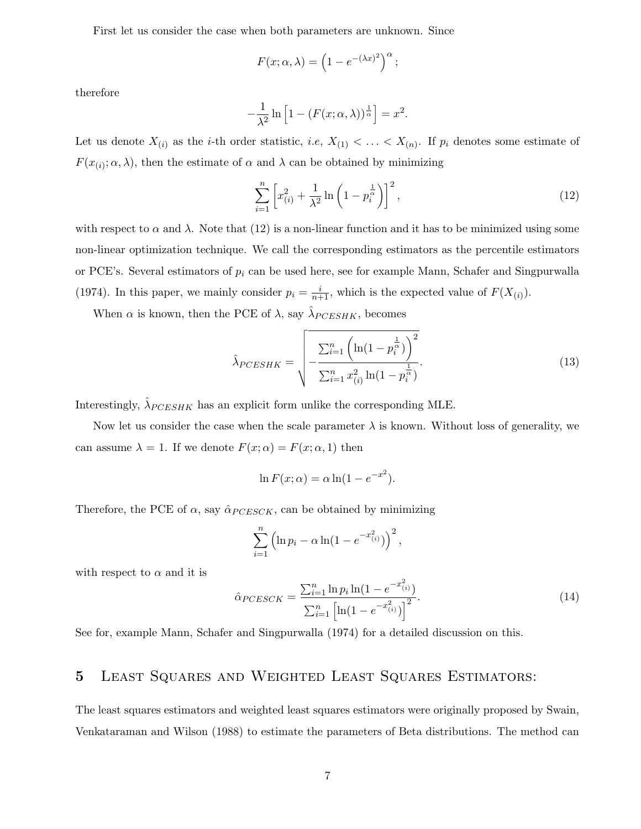First let us consider the case when both parameters are unknown. Since

$$
F(x; \alpha, \lambda) = \left(1 - e^{-(\lambda x)^2}\right)^{\alpha};
$$

therefore

$$
-\frac{1}{\lambda^2} \ln \left[ 1 - (F(x; \alpha, \lambda))^{\frac{1}{\alpha}} \right] = x^2.
$$

Let us denote  $X_{(i)}$  as the *i*-th order statistic, *i.e*,  $X_{(1)} < \ldots < X_{(n)}$ . If  $p_i$  denotes some estimate of  $F(x_{(i)}; \alpha, \lambda)$ , then the estimate of  $\alpha$  and  $\lambda$  can be obtained by minimizing

$$
\sum_{i=1}^{n} \left[ x_{(i)}^2 + \frac{1}{\lambda^2} \ln \left( 1 - p_i^{\frac{1}{\alpha}} \right) \right]^2, \tag{12}
$$

with respect to  $\alpha$  and  $\lambda$ . Note that (12) is a non-linear function and it has to be minimized using some non-linear optimization technique. We call the corresponding estimators as the percentile estimators or PCE's. Several estimators of  $p_i$  can be used here, see for example Mann, Schafer and Singpurwalla (1974). In this paper, we mainly consider  $p_i = \frac{i}{n+1}$ , which is the expected value of  $F(X_{(i)})$ .

When  $\alpha$  is known, then the PCE of  $\lambda$ , say  $\hat{\lambda}_{PCESHK}$ , becomes

$$
\hat{\lambda}_{PCESHK} = \sqrt{-\frac{\sum_{i=1}^{n} \left( \ln(1 - p_i^{\frac{1}{\alpha}}) \right)^2}{\sum_{i=1}^{n} x_{(i)}^2 \ln(1 - p_i^{\frac{1}{\alpha}})}}.
$$
(13)

Interestingly,  $\hat{\lambda}_{PCESHK}$  has an explicit form unlike the corresponding MLE.

Now let us consider the case when the scale parameter  $\lambda$  is known. Without loss of generality, we can assume  $\lambda = 1$ . If we denote  $F(x; \alpha) = F(x; \alpha, 1)$  then

$$
\ln F(x; \alpha) = \alpha \ln(1 - e^{-x^2}).
$$

Therefore, the PCE of  $\alpha$ , say  $\hat{\alpha}_{PCESCK}$ , can be obtained by minimizing

$$
\sum_{i=1}^{n} \left( \ln p_i - \alpha \ln(1 - e^{-x_{(i)}^2}) \right)^2,
$$

with respect to  $\alpha$  and it is

$$
\hat{\alpha}_{PCESCK} = \frac{\sum_{i=1}^{n} \ln p_i \ln(1 - e^{-x_{(i)}^2})}{\sum_{i=1}^{n} \left[ \ln(1 - e^{-x_{(i)}^2}) \right]^2}.
$$
\n(14)

See for, example Mann, Schafer and Singpurwalla (1974) for a detailed discussion on this.

# 5 Least Squares and Weighted Least Squares Estimators:

The least squares estimators and weighted least squares estimators were originally proposed by Swain, Venkataraman and Wilson (1988) to estimate the parameters of Beta distributions. The method can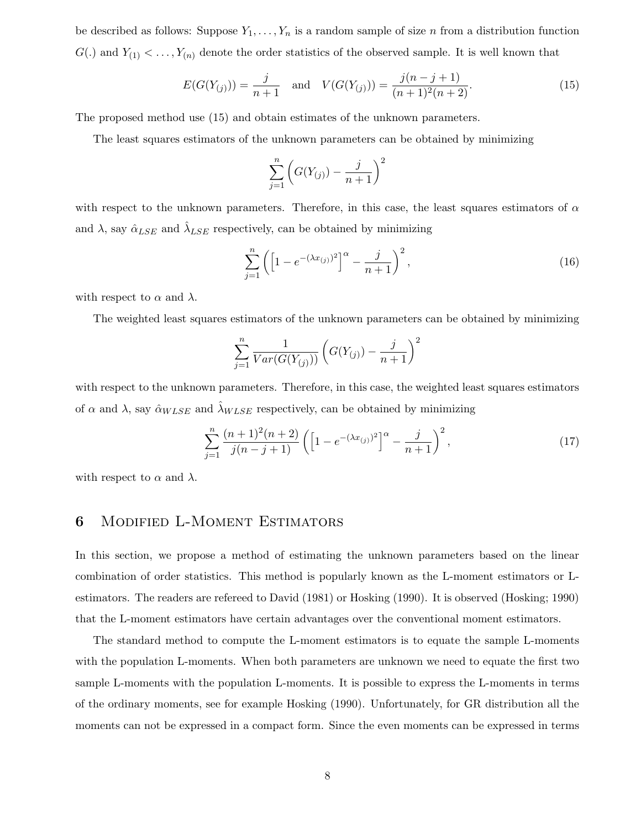be described as follows: Suppose  $Y_1, \ldots, Y_n$  is a random sample of size n from a distribution function  $G(.)$  and  $Y_{(1)} < \ldots, Y_{(n)}$  denote the order statistics of the observed sample. It is well known that

$$
E(G(Y_{(j)})) = \frac{j}{n+1} \quad \text{and} \quad V(G(Y_{(j)})) = \frac{j(n-j+1)}{(n+1)^2(n+2)}.
$$
\n(15)

The proposed method use (15) and obtain estimates of the unknown parameters.

The least squares estimators of the unknown parameters can be obtained by minimizing

$$
\sum_{j=1}^{n} \left( G(Y_{(j)}) - \frac{j}{n+1} \right)^2
$$

with respect to the unknown parameters. Therefore, in this case, the least squares estimators of  $\alpha$ and  $\lambda$ , say  $\hat{\alpha}_{LSE}$  and  $\hat{\lambda}_{LSE}$  respectively, can be obtained by minimizing

$$
\sum_{j=1}^{n} \left( \left[ 1 - e^{-(\lambda x_{(j)})^2} \right]^\alpha - \frac{j}{n+1} \right)^2, \tag{16}
$$

with respect to  $\alpha$  and  $\lambda$ .

The weighted least squares estimators of the unknown parameters can be obtained by minimizing

$$
\sum_{j=1}^{n} \frac{1}{Var(G(Y_{(j)}))} \left( G(Y_{(j)}) - \frac{j}{n+1} \right)^2
$$

with respect to the unknown parameters. Therefore, in this case, the weighted least squares estimators of  $\alpha$  and  $\lambda$ , say  $\hat{\alpha}_{WLSE}$  and  $\hat{\lambda}_{WLSE}$  respectively, can be obtained by minimizing

$$
\sum_{j=1}^{n} \frac{(n+1)^2(n+2)}{j(n-j+1)} \left( \left[ 1 - e^{-(\lambda x_{(j)})^2} \right]^\alpha - \frac{j}{n+1} \right)^2, \tag{17}
$$

with respect to  $\alpha$  and  $\lambda$ .

#### 6 Modified L-Moment Estimators

In this section, we propose a method of estimating the unknown parameters based on the linear combination of order statistics. This method is popularly known as the L-moment estimators or Lestimators. The readers are refereed to David (1981) or Hosking (1990). It is observed (Hosking; 1990) that the L-moment estimators have certain advantages over the conventional moment estimators.

The standard method to compute the L-moment estimators is to equate the sample L-moments with the population L-moments. When both parameters are unknown we need to equate the first two sample L-moments with the population L-moments. It is possible to express the L-moments in terms of the ordinary moments, see for example Hosking (1990). Unfortunately, for GR distribution all the moments can not be expressed in a compact form. Since the even moments can be expressed in terms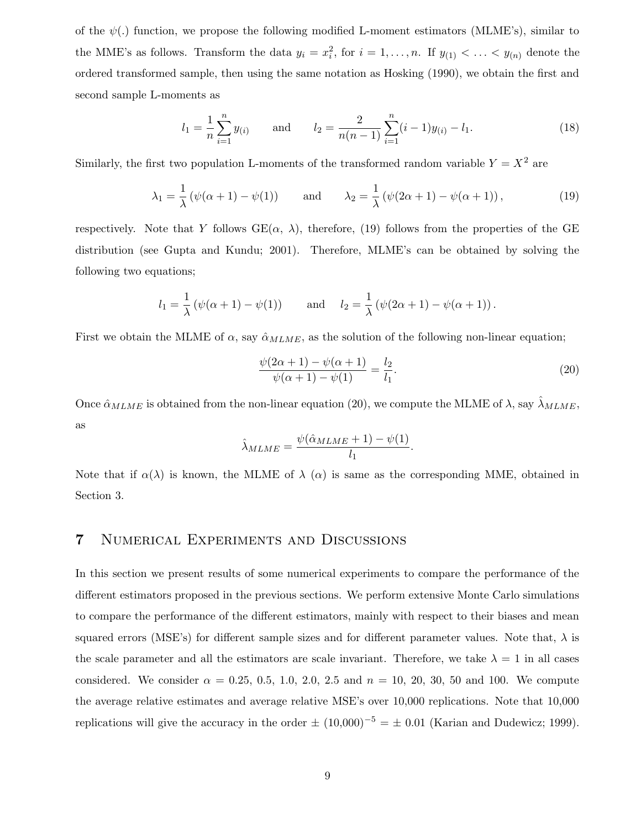of the  $\psi(.)$  function, we propose the following modified L-moment estimators (MLME's), similar to the MME's as follows. Transform the data  $y_i = x_i^2$ , for  $i = 1, ..., n$ . If  $y_{(1)} < ... < y_{(n)}$  denote the ordered transformed sample, then using the same notation as Hosking (1990), we obtain the first and second sample L-moments as

$$
l_1 = \frac{1}{n} \sum_{i=1}^{n} y_{(i)}
$$
 and  $l_2 = \frac{2}{n(n-1)} \sum_{i=1}^{n} (i-1)y_{(i)} - l_1.$  (18)

Similarly, the first two population L-moments of the transformed random variable  $Y = X^2$  are

$$
\lambda_1 = \frac{1}{\lambda} \left( \psi(\alpha + 1) - \psi(1) \right) \quad \text{and} \quad \lambda_2 = \frac{1}{\lambda} \left( \psi(2\alpha + 1) - \psi(\alpha + 1) \right), \tag{19}
$$

respectively. Note that Y follows  $GE(\alpha, \lambda)$ , therefore, (19) follows from the properties of the GE distribution (see Gupta and Kundu; 2001). Therefore, MLME's can be obtained by solving the following two equations;

$$
l_1 = \frac{1}{\lambda} (\psi(\alpha + 1) - \psi(1))
$$
 and  $l_2 = \frac{1}{\lambda} (\psi(2\alpha + 1) - \psi(\alpha + 1)).$ 

First we obtain the MLME of  $\alpha$ , say  $\hat{\alpha}_{MLME}$ , as the solution of the following non-linear equation;

$$
\frac{\psi(2\alpha+1) - \psi(\alpha+1)}{\psi(\alpha+1) - \psi(1)} = \frac{l_2}{l_1}.
$$
\n(20)

Once  $\hat{\alpha}_{MLME}$  is obtained from the non-linear equation (20), we compute the MLME of  $\lambda$ , say  $\hat{\lambda}_{MLME}$ , as

$$
\hat{\lambda}_{MLME} = \frac{\psi(\hat{\alpha}_{MLME} + 1) - \psi(1)}{l_1}.
$$

Note that if  $\alpha(\lambda)$  is known, the MLME of  $\lambda(\alpha)$  is same as the corresponding MME, obtained in Section 3.

### 7 Numerical Experiments and Discussions

In this section we present results of some numerical experiments to compare the performance of the different estimators proposed in the previous sections. We perform extensive Monte Carlo simulations to compare the performance of the different estimators, mainly with respect to their biases and mean squared errors (MSE's) for different sample sizes and for different parameter values. Note that,  $\lambda$  is the scale parameter and all the estimators are scale invariant. Therefore, we take  $\lambda = 1$  in all cases considered. We consider  $\alpha = 0.25, 0.5, 1.0, 2.0, 2.5, \text{ and } n = 10, 20, 30, 50, \text{ and } 100$ . We compute the average relative estimates and average relative MSE's over 10,000 replications. Note that 10,000 replications will give the accuracy in the order  $\pm (10,000)^{-5} = \pm 0.01$  (Karian and Dudewicz; 1999).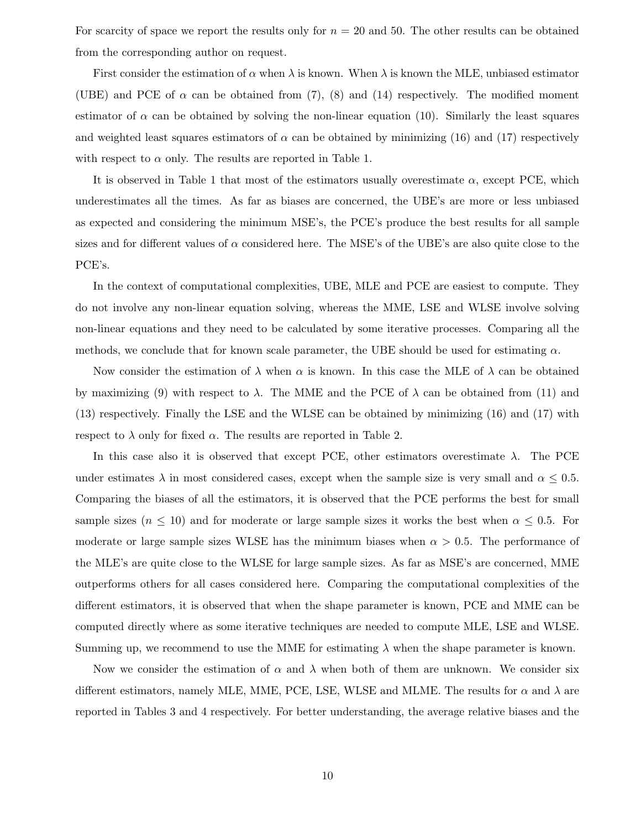For scarcity of space we report the results only for  $n = 20$  and 50. The other results can be obtained from the corresponding author on request.

First consider the estimation of  $\alpha$  when  $\lambda$  is known. When  $\lambda$  is known the MLE, unbiased estimator (UBE) and PCE of  $\alpha$  can be obtained from (7), (8) and (14) respectively. The modified moment estimator of  $\alpha$  can be obtained by solving the non-linear equation (10). Similarly the least squares and weighted least squares estimators of  $\alpha$  can be obtained by minimizing (16) and (17) respectively with respect to  $\alpha$  only. The results are reported in Table 1.

It is observed in Table 1 that most of the estimators usually overestimate  $\alpha$ , except PCE, which underestimates all the times. As far as biases are concerned, the UBE's are more or less unbiased as expected and considering the minimum MSE's, the PCE's produce the best results for all sample sizes and for different values of  $\alpha$  considered here. The MSE's of the UBE's are also quite close to the PCE's.

In the context of computational complexities, UBE, MLE and PCE are easiest to compute. They do not involve any non-linear equation solving, whereas the MME, LSE and WLSE involve solving non-linear equations and they need to be calculated by some iterative processes. Comparing all the methods, we conclude that for known scale parameter, the UBE should be used for estimating  $\alpha$ .

Now consider the estimation of  $\lambda$  when  $\alpha$  is known. In this case the MLE of  $\lambda$  can be obtained by maximizing (9) with respect to  $\lambda$ . The MME and the PCE of  $\lambda$  can be obtained from (11) and (13) respectively. Finally the LSE and the WLSE can be obtained by minimizing (16) and (17) with respect to  $\lambda$  only for fixed  $\alpha$ . The results are reported in Table 2.

In this case also it is observed that except PCE, other estimators overestimate  $\lambda$ . The PCE under estimates  $\lambda$  in most considered cases, except when the sample size is very small and  $\alpha \leq 0.5$ . Comparing the biases of all the estimators, it is observed that the PCE performs the best for small sample sizes ( $n \leq 10$ ) and for moderate or large sample sizes it works the best when  $\alpha \leq 0.5$ . For moderate or large sample sizes WLSE has the minimum biases when  $\alpha > 0.5$ . The performance of the MLE's are quite close to the WLSE for large sample sizes. As far as MSE's are concerned, MME outperforms others for all cases considered here. Comparing the computational complexities of the different estimators, it is observed that when the shape parameter is known, PCE and MME can be computed directly where as some iterative techniques are needed to compute MLE, LSE and WLSE. Summing up, we recommend to use the MME for estimating  $\lambda$  when the shape parameter is known.

Now we consider the estimation of  $\alpha$  and  $\lambda$  when both of them are unknown. We consider six different estimators, namely MLE, MME, PCE, LSE, WLSE and MLME. The results for  $\alpha$  and  $\lambda$  are reported in Tables 3 and 4 respectively. For better understanding, the average relative biases and the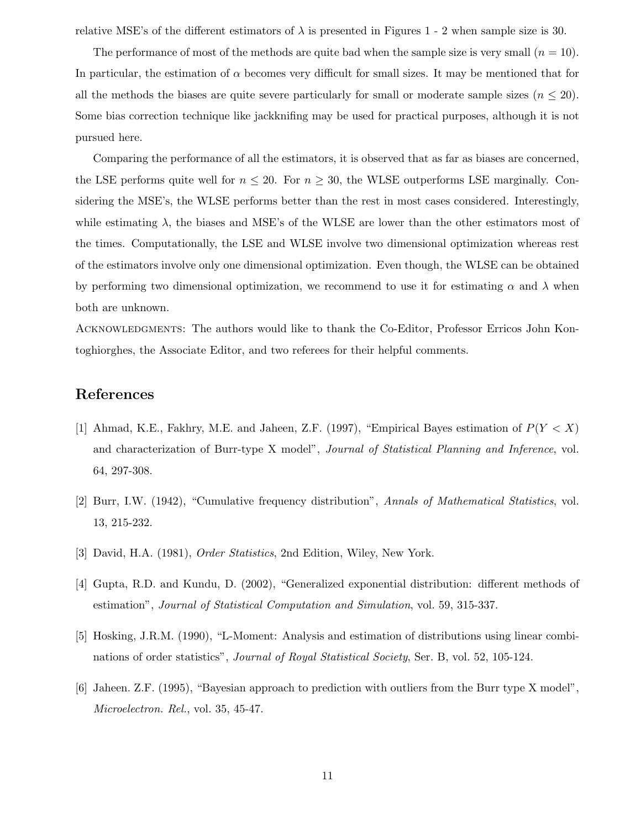relative MSE's of the different estimators of  $\lambda$  is presented in Figures 1 - 2 when sample size is 30.

The performance of most of the methods are quite bad when the sample size is very small  $(n = 10)$ . In particular, the estimation of  $\alpha$  becomes very difficult for small sizes. It may be mentioned that for all the methods the biases are quite severe particularly for small or moderate sample sizes  $(n \leq 20)$ . Some bias correction technique like jackknifing may be used for practical purposes, although it is not pursued here.

Comparing the performance of all the estimators, it is observed that as far as biases are concerned, the LSE performs quite well for  $n \leq 20$ . For  $n \geq 30$ , the WLSE outperforms LSE marginally. Considering the MSE's, the WLSE performs better than the rest in most cases considered. Interestingly, while estimating  $\lambda$ , the biases and MSE's of the WLSE are lower than the other estimators most of the times. Computationally, the LSE and WLSE involve two dimensional optimization whereas rest of the estimators involve only one dimensional optimization. Even though, the WLSE can be obtained by performing two dimensional optimization, we recommend to use it for estimating  $\alpha$  and  $\lambda$  when both are unknown.

ACKNOWLEDGMENTS: The authors would like to thank the Co-Editor, Professor Erricos John Kontoghiorghes, the Associate Editor, and two referees for their helpful comments.

#### References

- [1] Ahmad, K.E., Fakhry, M.E. and Jaheen, Z.F. (1997), "Empirical Bayes estimation of  $P(Y < X)$ and characterization of Burr-type X model", Journal of Statistical Planning and Inference, vol. 64, 297-308.
- [2] Burr, I.W. (1942), "Cumulative frequency distribution", Annals of Mathematical Statistics, vol. 13, 215-232.
- [3] David, H.A. (1981), Order Statistics, 2nd Edition, Wiley, New York.
- [4] Gupta, R.D. and Kundu, D. (2002), "Generalized exponential distribution: different methods of estimation", Journal of Statistical Computation and Simulation, vol. 59, 315-337.
- [5] Hosking, J.R.M. (1990), "L-Moment: Analysis and estimation of distributions using linear combinations of order statistics", Journal of Royal Statistical Society, Ser. B, vol. 52, 105-124.
- [6] Jaheen. Z.F. (1995), "Bayesian approach to prediction with outliers from the Burr type X model", Microelectron. Rel., vol. 35, 45-47.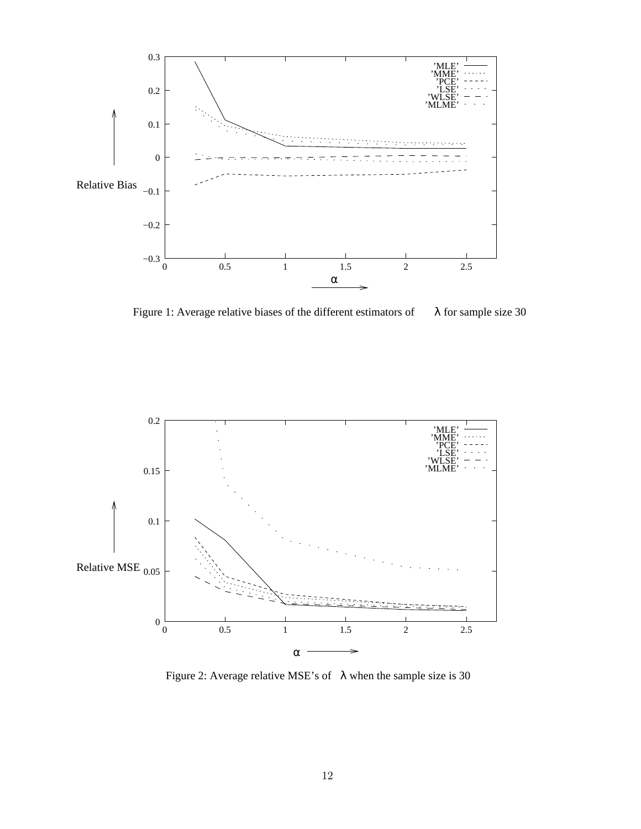

Figure 1: Average relative biases of the different estimators of  $\lambda$  for sample size 30



Figure 2: Average relative MSE's of  $\lambda$  when the sample size is 30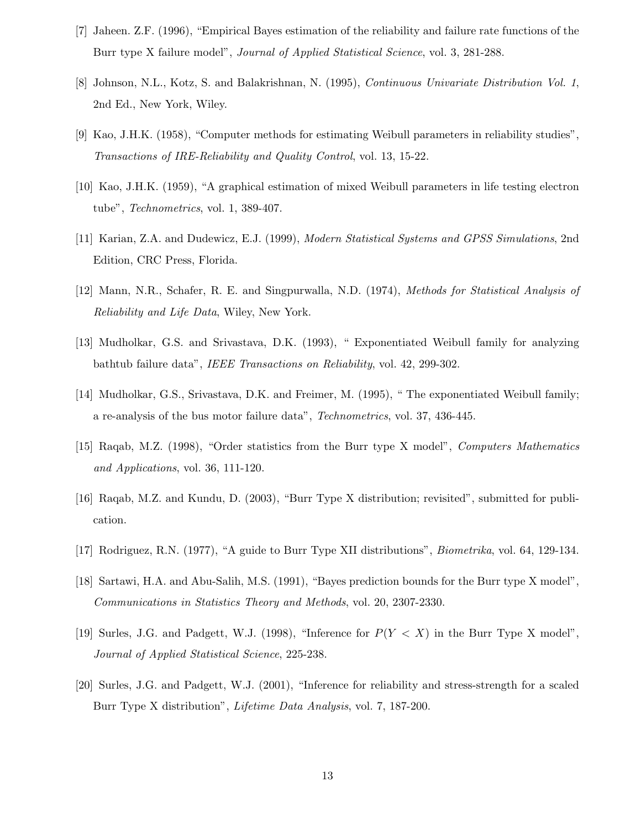- [7] Jaheen. Z.F. (1996), "Empirical Bayes estimation of the reliability and failure rate functions of the Burr type X failure model", Journal of Applied Statistical Science, vol. 3, 281-288.
- [8] Johnson, N.L., Kotz, S. and Balakrishnan, N. (1995), Continuous Univariate Distribution Vol. 1, 2nd Ed., New York, Wiley.
- [9] Kao, J.H.K. (1958), "Computer methods for estimating Weibull parameters in reliability studies", Transactions of IRE-Reliability and Quality Control, vol. 13, 15-22.
- [10] Kao, J.H.K. (1959), "A graphical estimation of mixed Weibull parameters in life testing electron tube", Technometrics, vol. 1, 389-407.
- [11] Karian, Z.A. and Dudewicz, E.J. (1999), Modern Statistical Systems and GPSS Simulations, 2nd Edition, CRC Press, Florida.
- [12] Mann, N.R., Schafer, R. E. and Singpurwalla, N.D. (1974), Methods for Statistical Analysis of Reliability and Life Data, Wiley, New York.
- [13] Mudholkar, G.S. and Srivastava, D.K. (1993), " Exponentiated Weibull family for analyzing bathtub failure data", IEEE Transactions on Reliability, vol. 42, 299-302.
- [14] Mudholkar, G.S., Srivastava, D.K. and Freimer, M. (1995), " The exponentiated Weibull family; a re-analysis of the bus motor failure data", Technometrics, vol. 37, 436-445.
- [15] Raqab, M.Z. (1998), "Order statistics from the Burr type X model", Computers Mathematics and Applications, vol. 36, 111-120.
- [16] Raqab, M.Z. and Kundu, D. (2003), "Burr Type X distribution; revisited", submitted for publication.
- [17] Rodriguez, R.N. (1977), "A guide to Burr Type XII distributions", Biometrika, vol. 64, 129-134.
- [18] Sartawi, H.A. and Abu-Salih, M.S. (1991), "Bayes prediction bounds for the Burr type X model", Communications in Statistics Theory and Methods, vol. 20, 2307-2330.
- [19] Surles, J.G. and Padgett, W.J. (1998), "Inference for  $P(Y < X)$  in the Burr Type X model", Journal of Applied Statistical Science, 225-238.
- [20] Surles, J.G. and Padgett, W.J. (2001), "Inference for reliability and stress-strength for a scaled Burr Type X distribution", Lifetime Data Analysis, vol. 7, 187-200.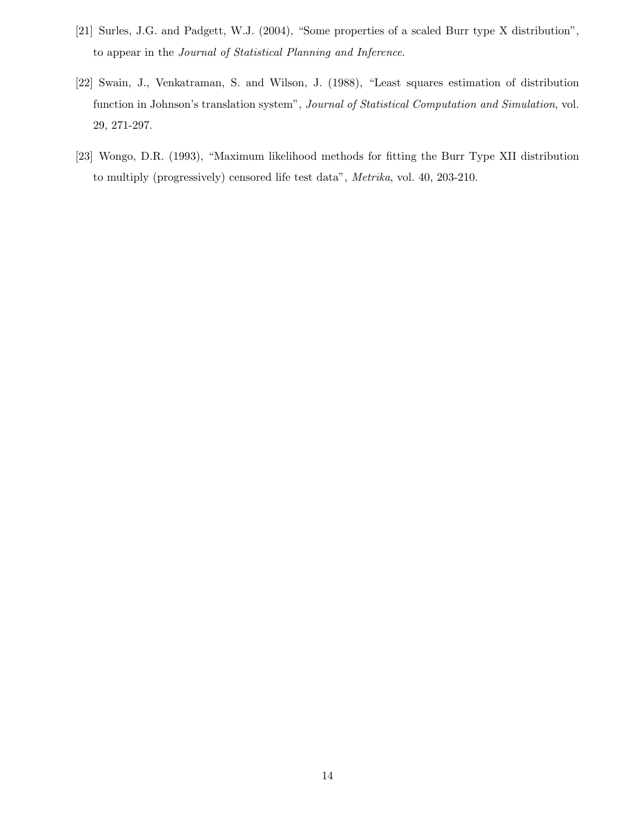- [21] Surles, J.G. and Padgett, W.J. (2004), "Some properties of a scaled Burr type X distribution", to appear in the Journal of Statistical Planning and Inference.
- [22] Swain, J., Venkatraman, S. and Wilson, J. (1988), "Least squares estimation of distribution function in Johnson's translation system", Journal of Statistical Computation and Simulation, vol. 29, 271-297.
- [23] Wongo, D.R. (1993), "Maximum likelihood methods for fitting the Burr Type XII distribution to multiply (progressively) censored life test data", Metrika, vol. 40, 203-210.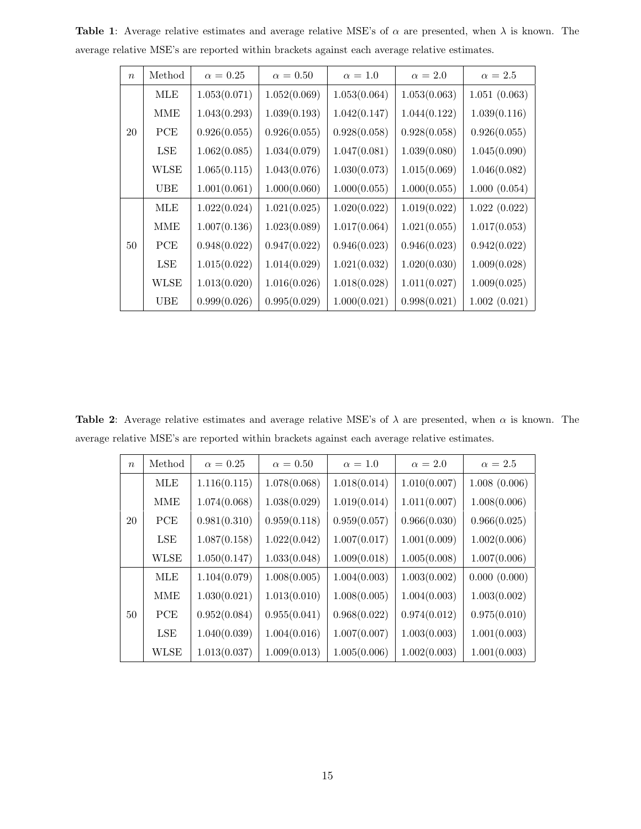| $\boldsymbol{n}$ | Method     | $\alpha = 0.25$ | $\alpha = 0.50$ | $\alpha = 1.0$ | $\alpha = 2.0$ | $\alpha = 2.5$ |
|------------------|------------|-----------------|-----------------|----------------|----------------|----------------|
|                  | <b>MLE</b> | 1.053(0.071)    | 1.052(0.069)    | 1.053(0.064)   | 1.053(0.063)   | 1.051(0.063)   |
|                  | <b>MME</b> | 1.043(0.293)    | 1.039(0.193)    | 1.042(0.147)   | 1.044(0.122)   | 1.039(0.116)   |
| 20               | PCE        | 0.926(0.055)    | 0.926(0.055)    | 0.928(0.058)   | 0.928(0.058)   | 0.926(0.055)   |
|                  | LSE        | 1.062(0.085)    | 1.034(0.079)    | 1.047(0.081)   | 1.039(0.080)   | 1.045(0.090)   |
|                  | WLSE       | 1.065(0.115)    | 1.043(0.076)    | 1.030(0.073)   | 1.015(0.069)   | 1.046(0.082)   |
|                  | <b>UBE</b> | 1.001(0.061)    | 1.000(0.060)    | 1.000(0.055)   | 1.000(0.055)   | 1.000(0.054)   |
|                  | <b>MLE</b> | 1.022(0.024)    | 1.021(0.025)    | 1.020(0.022)   | 1.019(0.022)   | 1.022(0.022)   |
|                  | MME        | 1.007(0.136)    | 1.023(0.089)    | 1.017(0.064)   | 1.021(0.055)   | 1.017(0.053)   |
| 50               | PCE        | 0.948(0.022)    | 0.947(0.022)    | 0.946(0.023)   | 0.946(0.023)   | 0.942(0.022)   |
|                  | LSE        | 1.015(0.022)    | 1.014(0.029)    | 1.021(0.032)   | 1.020(0.030)   | 1.009(0.028)   |
|                  | WLSE       | 1.013(0.020)    | 1.016(0.026)    | 1.018(0.028)   | 1.011(0.027)   | 1.009(0.025)   |
|                  | UBE        | 0.999(0.026)    | 0.995(0.029)    | 1.000(0.021)   | 0.998(0.021)   | 1.002(0.021)   |

Table 1: Average relative estimates and average relative MSE's of  $\alpha$  are presented, when  $\lambda$  is known. The average relative MSE's are reported within brackets against each average relative estimates.

Table 2: Average relative estimates and average relative MSE's of  $\lambda$  are presented, when  $\alpha$  is known. The average relative MSE's are reported within brackets against each average relative estimates.

| $\boldsymbol{n}$ | Method      | $\alpha = 0.25$ | $\alpha = 0.50$ | $\alpha=1.0$ | $\alpha = 2.0$ | $\alpha = 2.5$ |
|------------------|-------------|-----------------|-----------------|--------------|----------------|----------------|
|                  | <b>MLE</b>  | 1.116(0.115)    | 1.078(0.068)    | 1.018(0.014) | 1.010(0.007)   | 1.008(0.006)   |
|                  | MME         | 1.074(0.068)    | 1.038(0.029)    | 1.019(0.014) | 1.011(0.007)   | 1.008(0.006)   |
| 20               | PCE         | 0.981(0.310)    | 0.959(0.118)    | 0.959(0.057) | 0.966(0.030)   | 0.966(0.025)   |
|                  | LSE         | 1.087(0.158)    | 1.022(0.042)    | 1.007(0.017) | 1.001(0.009)   | 1.002(0.006)   |
|                  | <b>WLSE</b> | 1.050(0.147)    | 1.033(0.048)    | 1.009(0.018) | 1.005(0.008)   | 1.007(0.006)   |
| 50               | <b>MLE</b>  | 1.104(0.079)    | 1.008(0.005)    | 1.004(0.003) | 1.003(0.002)   | 0.000(0.000)   |
|                  | <b>MME</b>  | 1.030(0.021)    | 1.013(0.010)    | 1.008(0.005) | 1.004(0.003)   | 1.003(0.002)   |
|                  | PCE         | 0.952(0.084)    | 0.955(0.041)    | 0.968(0.022) | 0.974(0.012)   | 0.975(0.010)   |
|                  | LSE         | 1.040(0.039)    | 1.004(0.016)    | 1.007(0.007) | 1.003(0.003)   | 1.001(0.003)   |
|                  | <b>WLSE</b> | 1.013(0.037)    | 1.009(0.013)    | 1.005(0.006) | 1.002(0.003)   | 1.001(0.003)   |